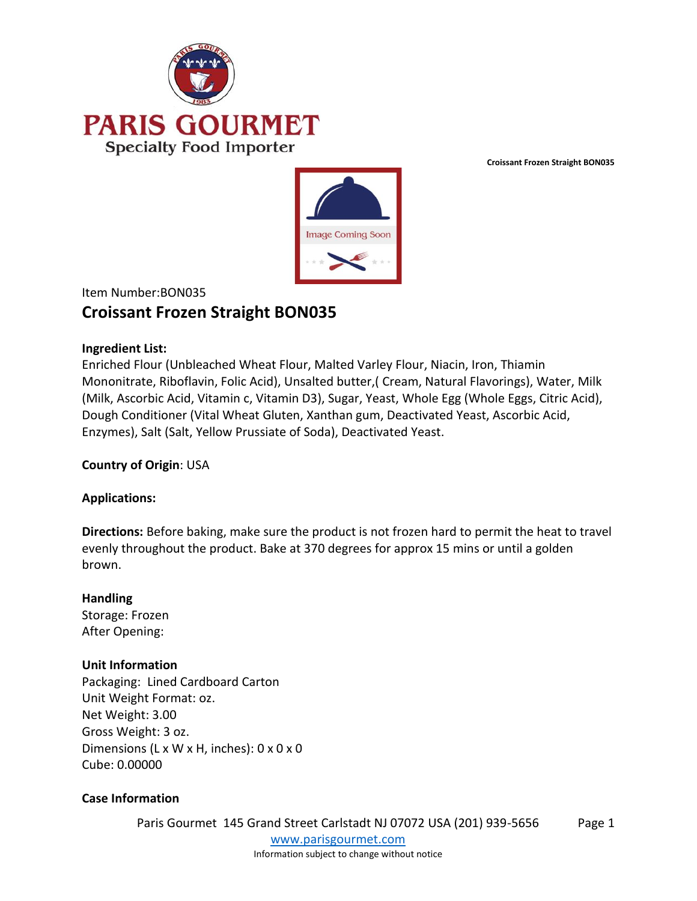



# Item Number:BON035 **Croissant Frozen Straight BON035**

### **Ingredient List:**

Enriched Flour (Unbleached Wheat Flour, Malted Varley Flour, Niacin, Iron, Thiamin Mononitrate, Riboflavin, Folic Acid), Unsalted butter,( Cream, Natural Flavorings), Water, Milk (Milk, Ascorbic Acid, Vitamin c, Vitamin D3), Sugar, Yeast, Whole Egg (Whole Eggs, Citric Acid), Dough Conditioner (Vital Wheat Gluten, Xanthan gum, Deactivated Yeast, Ascorbic Acid, Enzymes), Salt (Salt, Yellow Prussiate of Soda), Deactivated Yeast.

# **Country of Origin**: USA

#### **Applications:**

**Directions:** Before baking, make sure the product is not frozen hard to permit the heat to travel evenly throughout the product. Bake at 370 degrees for approx 15 mins or until a golden brown.

#### **Handling**

Storage: Frozen After Opening:

# **Unit Information**

Packaging: Lined Cardboard Carton Unit Weight Format: oz. Net Weight: 3.00 Gross Weight: 3 oz. Dimensions (L x W x H, inches): 0 x 0 x 0 Cube: 0.00000

# **Case Information**

Paris Gourmet 145 Grand Street Carlstadt NJ 07072 USA (201) 939-5656 [www.parisgourmet.com](http://www.parisgourmet.com/) Page 1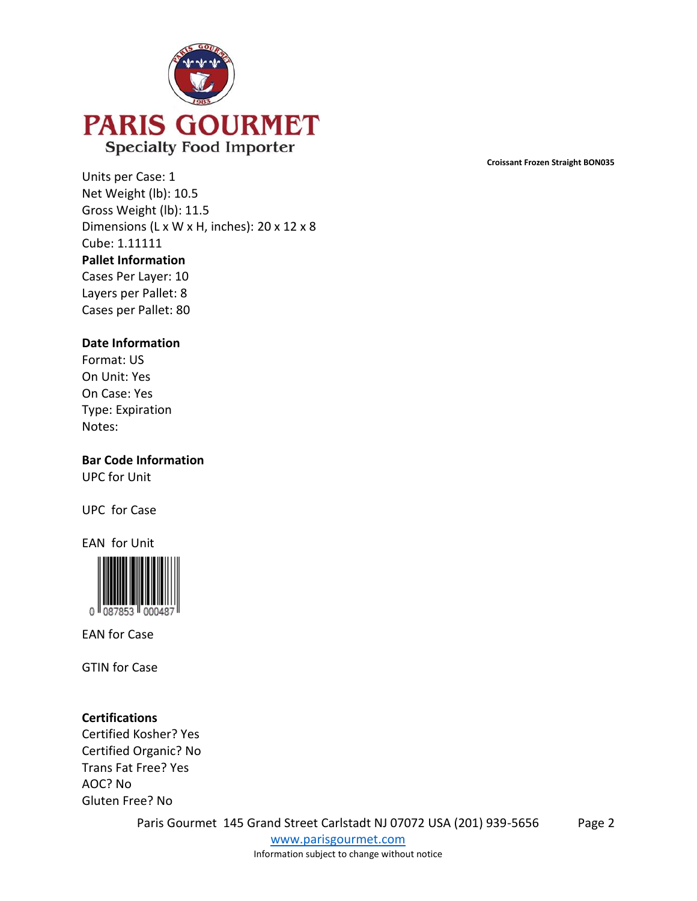

Units per Case: 1 Net Weight (lb): 10.5 Gross Weight (lb): 11.5 Dimensions (L x W x H, inches): 20 x 12 x 8 Cube: 1.11111 **Pallet Information** Cases Per Layer: 10 Layers per Pallet: 8 Cases per Pallet: 80

#### **Date Information**

Format: US On Unit: Yes On Case: Yes Type: Expiration Notes:

**Bar Code Information** UPC for Unit

UPC for Case

EAN for Unit



EAN for Case

GTIN for Case

#### **Certifications**

Certified Kosher? Yes Certified Organic? No Trans Fat Free? Yes AOC? No Gluten Free? No

Paris Gourmet 145 Grand Street Carlstadt NJ 07072 USA (201) 939-5656

[www.parisgourmet.com](http://www.parisgourmet.com/) Information subject to change without notice Page 2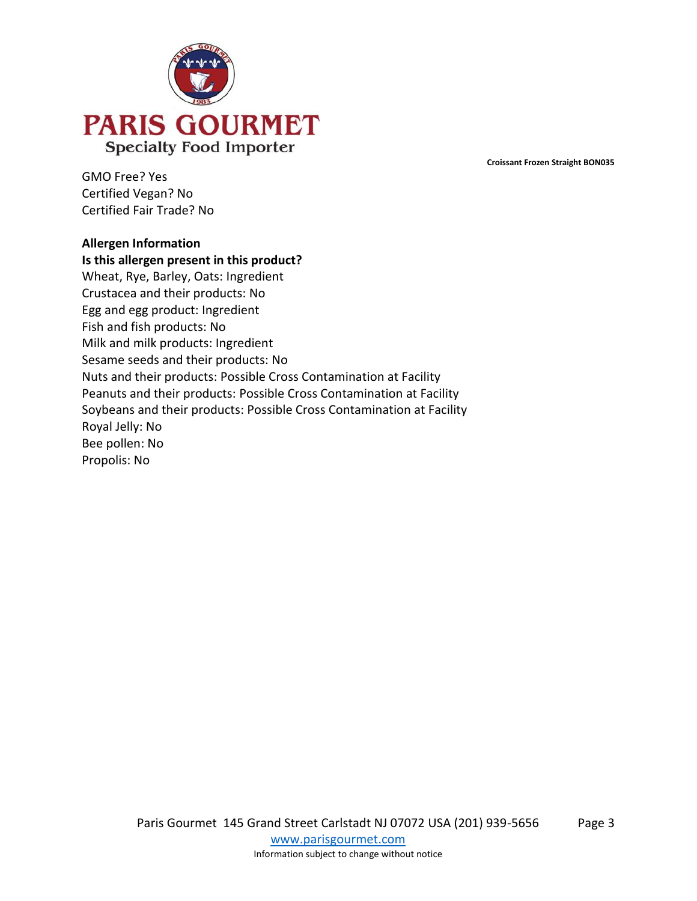

GMO Free? Yes Certified Vegan? No Certified Fair Trade? No

#### **Allergen Information**

**Is this allergen present in this product?** Wheat, Rye, Barley, Oats: Ingredient Crustacea and their products: No Egg and egg product: Ingredient Fish and fish products: No Milk and milk products: Ingredient Sesame seeds and their products: No Nuts and their products: Possible Cross Contamination at Facility Peanuts and their products: Possible Cross Contamination at Facility Soybeans and their products: Possible Cross Contamination at Facility Royal Jelly: No Bee pollen: No Propolis: No